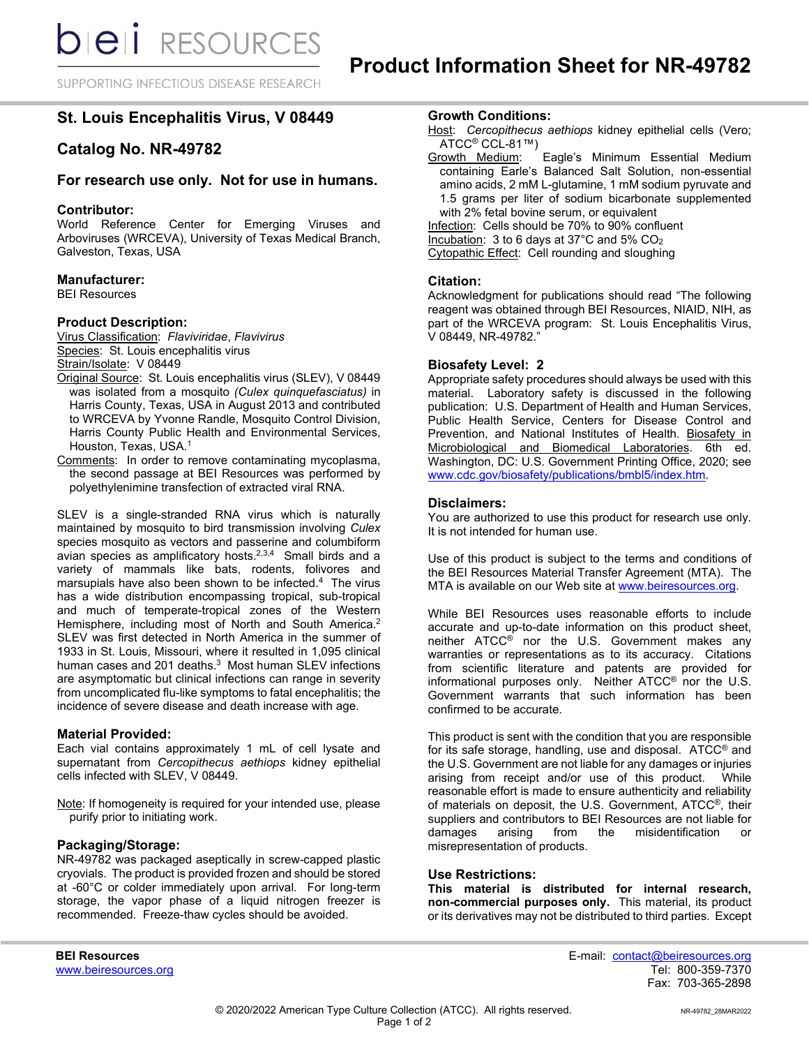SUPPORTING INFECTIOUS DISEASE RESEARCH

# **St. Louis Encephalitis Virus, V 08449**

# **Catalog No. NR-49782**

# **For research use only. Not for use in humans.**

## **Contributor:**

World Reference Center for Emerging Viruses and Arboviruses (WRCEVA), University of Texas Medical Branch, Galveston, Texas, USA

## **Manufacturer:**

BEI Resources

# **Product Description:**

Virus Classification: *Flaviviridae*, *Flavivirus* Species: St. Louis encephalitis virus Strain/Isolate: V 08449

- Original Source: St. Louis encephalitis virus (SLEV), V 08449 was isolated from a mosquito *(Culex quinquefasciatus)* in Harris County, Texas, USA in August 2013 and contributed to WRCEVA by Yvonne Randle, Mosquito Control Division, Harris County Public Health and Environmental Services, Houston, Texas, USA. 1
- Comments: In order to remove contaminating mycoplasma, the second passage at BEI Resources was performed by polyethylenimine transfection of extracted viral RNA.

SLEV is a single-stranded RNA virus which is naturally maintained by mosquito to bird transmission involving *Culex*  species mosquito as vectors and passerine and columbiform avian species as amplificatory hosts.<sup>2,3,4</sup> Small birds and a variety of mammals like bats, rodents, folivores and marsupials have also been shown to be infected.4 The virus has a wide distribution encompassing tropical, sub-tropical and much of temperate-tropical zones of the Western Hemisphere, including most of North and South America.<sup>2</sup> SLEV was first detected in North America in the summer of 1933 in St. Louis, Missouri, where it resulted in 1,095 clinical human cases and 201 deaths. 3 Most human SLEV infections are asymptomatic but clinical infections can range in severity from uncomplicated flu-like symptoms to fatal encephalitis; the incidence of severe disease and death increase with age.

# **Material Provided:**

Each vial contains approximately 1 mL of cell lysate and supernatant from *Cercopithecus aethiops* kidney epithelial cells infected with SLEV, V 08449.

Note: If homogeneity is required for your intended use, please purify prior to initiating work.

#### **Packaging/Storage:**

NR-49782 was packaged aseptically in screw-capped plastic cryovials. The product is provided frozen and should be stored at -60°C or colder immediately upon arrival. For long-term storage, the vapor phase of a liquid nitrogen freezer is recommended. Freeze-thaw cycles should be avoided.

- Host: *Cercopithecus aethiops* kidney epithelial cells (Vero; ATCC<sup>®</sup> CCL-81™)<br>Growth Medium:
- Eagle's Minimum Essential Medium containing Earle's Balanced Salt Solution, non-essential amino acids, 2 mM L-glutamine, 1 mM sodium pyruvate and 1.5 grams per liter of sodium bicarbonate supplemented with 2% fetal bovine serum, or equivalent Infection: Cells should be 70% to 90% confluent

Incubation: 3 to 6 days at 37°C and 5% CO2 Cytopathic Effect: Cell rounding and sloughing

## **Citation:**

Acknowledgment for publications should read "The following reagent was obtained through BEI Resources, NIAID, NIH, as part of the WRCEVA program: St. Louis Encephalitis Virus, V 08449, NR-49782."

## **Biosafety Level: 2**

Appropriate safety procedures should always be used with this material. Laboratory safety is discussed in the following publication: U.S. Department of Health and Human Services, Public Health Service, Centers for Disease Control and Prevention, and National Institutes of Health. Biosafety in Microbiological and Biomedical Laboratories. 6th ed. Washington, DC: U.S. Government Printing Office, 2020; see [www.cdc.gov/biosafety/publications/bmbl5/index.htm.](http://www.cdc.gov/biosafety/publications/bmbl5/index.htm)

## **Disclaimers:**

You are authorized to use this product for research use only. It is not intended for human use.

Use of this product is subject to the terms and conditions of the BEI Resources Material Transfer Agreement (MTA). The MTA is available on our Web site at [www.beiresources.org.](http://www.beiresources.org/)

While BEI Resources uses reasonable efforts to include accurate and up-to-date information on this product sheet, neither ATCC<sup>®</sup> nor the U.S. Government makes any warranties or representations as to its accuracy. Citations from scientific literature and patents are provided for informational purposes only. Neither ATCC® nor the U.S. Government warrants that such information has been confirmed to be accurate.

This product is sent with the condition that you are responsible for its safe storage, handling, use and disposal. ATCC® and the U.S. Government are not liable for any damages or injuries arising from receipt and/or use of this product. While reasonable effort is made to ensure authenticity and reliability of materials on deposit, the U.S. Government, ATCC®, their suppliers and contributors to BEI Resources are not liable for damages arising from the misidentification or misrepresentation of products.

# **Use Restrictions:**

**This material is distributed for internal research, non-commercial purposes only.** This material, its product or its derivatives may not be distributed to third parties. Except

**BEI Resources** E-mail: contact@beiresources.org Fax: 703-365-2898